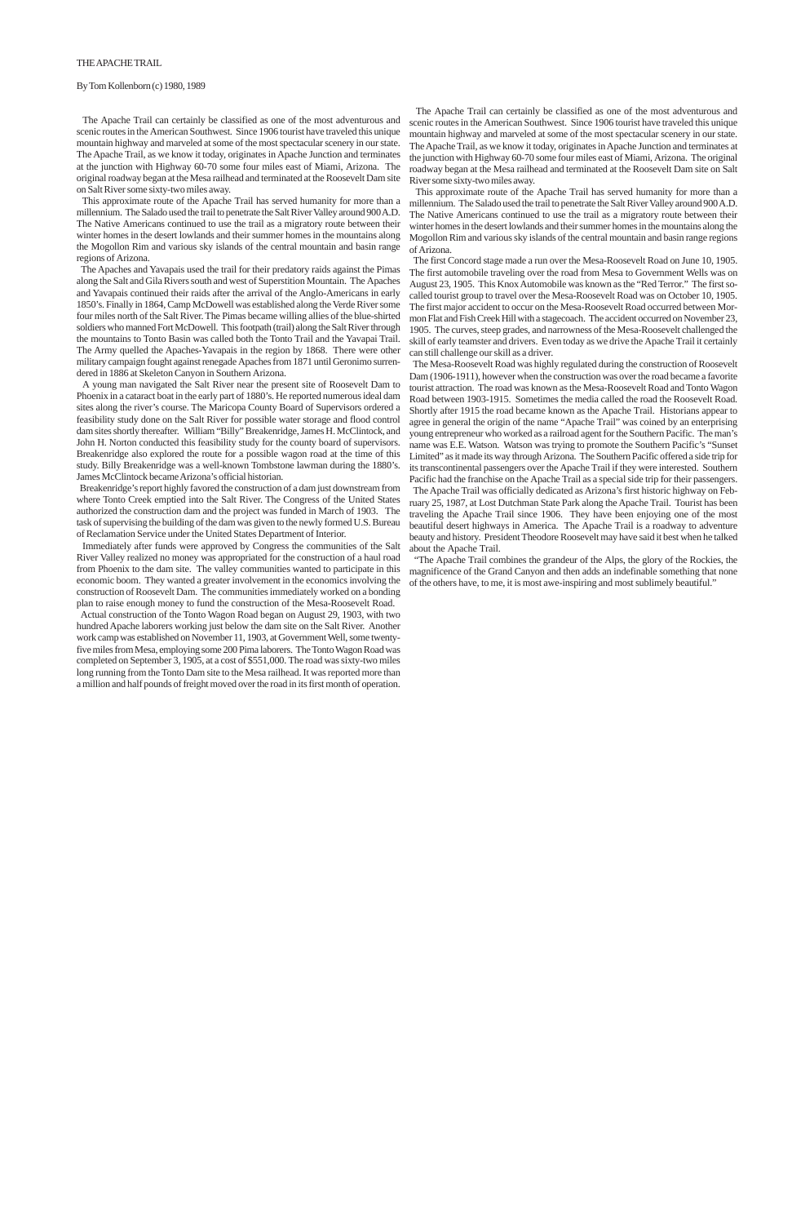The Apache Trail can certainly be classified as one of the most adventurous and scenic routes in the American Southwest. Since 1906 tourist have traveled this unique mountain highway and marveled at some of the most spectacular scenery in our state. The Apache Trail, as we know it today, originates in Apache Junction and terminates at the junction with Highway 60-70 some four miles east of Miami, Arizona. The original roadway began at the Mesa railhead and terminated at the Roosevelt Dam site on Salt River some sixty-two miles away.

 This approximate route of the Apache Trail has served humanity for more than a millennium. The Salado used the trail to penetrate the Salt River Valley around 900 A.D. The Native Americans continued to use the trail as a migratory route between their winter homes in the desert lowlands and their summer homes in the mountains along the Mogollon Rim and various sky islands of the central mountain and basin range regions of Arizona.

 The first Concord stage made a run over the Mesa-Roosevelt Road on June 10, 1905. The first automobile traveling over the road from Mesa to Government Wells was on August 23, 1905. This Knox Automobile was known as the "Red Terror." The first socalled tourist group to travel over the Mesa-Roosevelt Road was on October 10, 1905. The first major accident to occur on the Mesa-Roosevelt Road occurred between Mormon Flat and Fish Creek Hill with a stagecoach. The accident occurred on November 23, 1905. The curves, steep grades, and narrowness of the Mesa-Roosevelt challenged the skill of early teamster and drivers. Even today as we drive the Apache Trail it certainly can still challenge our skill as a driver.

 The Mesa-Roosevelt Road was highly regulated during the construction of Roosevelt Dam (1906-1911), however when the construction was over the road became a favorite tourist attraction. The road was known as the Mesa-Roosevelt Road and Tonto Wagon Road between 1903-1915. Sometimes the media called the road the Roosevelt Road. Shortly after 1915 the road became known as the Apache Trail. Historians appear to agree in general the origin of the name "Apache Trail" was coined by an enterprising young entrepreneur who worked as a railroad agent for the Southern Pacific. The man's name was E.E. Watson. Watson was trying to promote the Southern Pacific's "Sunset Limited" as it made its way through Arizona. The Southern Pacific offered a side trip for its transcontinental passengers over the Apache Trail if they were interested. Southern Pacific had the franchise on the Apache Trail as a special side trip for their passengers. The Apache Trail was officially dedicated as Arizona's first historic highway on February 25, 1987, at Lost Dutchman State Park along the Apache Trail. Tourist has been traveling the Apache Trail since 1906. They have been enjoying one of the most beautiful desert highways in America. The Apache Trail is a roadway to adventure beauty and history. President Theodore Roosevelt may have said it best when he talked about the Apache Trail.

 "The Apache Trail combines the grandeur of the Alps, the glory of the Rockies, the magnificence of the Grand Canyon and then adds an indefinable something that none of the others have, to me, it is most awe-inspiring and most sublimely beautiful."

## By Tom Kollenborn (c) 1980, 1989

 The Apache Trail can certainly be classified as one of the most adventurous and scenic routes in the American Southwest. Since 1906 tourist have traveled this unique mountain highway and marveled at some of the most spectacular scenery in our state. The Apache Trail, as we know it today, originates in Apache Junction and terminates at the junction with Highway 60-70 some four miles east of Miami, Arizona. The original roadway began at the Mesa railhead and terminated at the Roosevelt Dam site on Salt River some sixty-two miles away.

 This approximate route of the Apache Trail has served humanity for more than a millennium. The Salado used the trail to penetrate the Salt River Valley around 900 A.D. The Native Americans continued to use the trail as a migratory route between their winter homes in the desert lowlands and their summer homes in the mountains along the Mogollon Rim and various sky islands of the central mountain and basin range regions of Arizona.

 The Apaches and Yavapais used the trail for their predatory raids against the Pimas along the Salt and Gila Rivers south and west of Superstition Mountain. The Apaches and Yavapais continued their raids after the arrival of the Anglo-Americans in early 1850's. Finally in 1864, Camp McDowell was established along the Verde River some four miles north of the Salt River. The Pimas became willing allies of the blue-shirted soldiers who manned Fort McDowell. This footpath (trail) along the Salt River through the mountains to Tonto Basin was called both the Tonto Trail and the Yavapai Trail. The Army quelled the Apaches-Yavapais in the region by 1868. There were other military campaign fought against renegade Apaches from 1871 until Geronimo surrendered in 1886 at Skeleton Canyon in Southern Arizona.

 A young man navigated the Salt River near the present site of Roosevelt Dam to Phoenix in a cataract boat in the early part of 1880's. He reported numerous ideal dam sites along the river's course. The Maricopa County Board of Supervisors ordered a feasibility study done on the Salt River for possible water storage and flood control dam sites shortly thereafter. William "Billy" Breakenridge, James H. McClintock, and John H. Norton conducted this feasibility study for the county board of supervisors. Breakenridge also explored the route for a possible wagon road at the time of this study. Billy Breakenridge was a well-known Tombstone lawman during the 1880's. James McClintock became Arizona's official historian.

 Breakenridge's report highly favored the construction of a dam just downstream from where Tonto Creek emptied into the Salt River. The Congress of the United States authorized the construction dam and the project was funded in March of 1903. The task of supervising the building of the dam was given to the newly formed U.S. Bureau of Reclamation Service under the United States Department of Interior.

 Immediately after funds were approved by Congress the communities of the Salt River Valley realized no money was appropriated for the construction of a haul road from Phoenix to the dam site. The valley communities wanted to participate in this economic boom. They wanted a greater involvement in the economics involving the construction of Roosevelt Dam. The communities immediately worked on a bonding plan to raise enough money to fund the construction of the Mesa-Roosevelt Road.

 Actual construction of the Tonto Wagon Road began on August 29, 1903, with two hundred Apache laborers working just below the dam site on the Salt River. Another work camp was established on November 11, 1903, at Government Well, some twentyfive miles from Mesa, employing some 200 Pima laborers. The Tonto Wagon Road was completed on September 3, 1905, at a cost of \$551,000. The road was sixty-two miles long running from the Tonto Dam site to the Mesa railhead. It was reported more than a million and half pounds of freight moved over the road in its first month of operation.